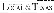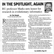# **IN THE SPOTLIGHT, AGAIN**

**BU professorMarks nets honor for research in evolutionary informatics**



**Marks** 

By Tim Woods Tribune-Herald staff writer

 $\sum_{\substack{\text{Distinguished Professor of elec-}}}\n\begin{minipage}{0.9\linewidth} \noindent \text{Distinguished Professor of elec-} \quad \text{Distinguished and computer engineering} \quad \text{Difolds himself in the sorting.} \quad \text{Difolds, but it is not a more generalization of the application.} \quad \text{Difolds, but it is not a more generalization of the application.} \quad \text{Difolds, but it is not a more generalization of the application.} \quad \text{Difolds, but it is not a more generalization of the application.} \quad \text{Difolds, but it is not a more generalization of the application.} \quad \text{Difolds, but it is not a more generalization of the application.} \quad \text{Difolds, but it is not a more$ Disting uished Professor of elec-**A** trical and computer engineering. once again finds himself in the spotlight.

Less than three years ago, Marks was at the center of an intelligent design-related controversy at the school. .

But Marks now is being honored for his work, notably his research in the area of evolutionary informatics.

CollegeCrunch.org, a college resource Web site, named Marks as one of "the 20" most brilliant Christian professors."

CollegeCrunch said professors included on the list "shine brightly among their beers as towering figures in the academic world."

Included are professors from such renowned universities as Johns Hopkins, Harvard, Notre Dame, Princeton, Rice, Stanford, Cambridge and Oxford. The list was limited to professors in Englishspeaking countries.

Marks said he was humbled by his inclusion on the list.

"For the record, I don't deserve this," he said. "But'1have lower back pain and don't deserve that, either."

Ian Gravagne, a tenured electrical and computer engineering professor at Baylor, disagrees with Marks' self-assessment.

"This list would simply be incomplete without mention of Bob," said Gravagne, who has worked closely with Marks for seven years. "Brilliant: This description is absolutely spot-on.. .. His career spans practically the entire breadth of the fields of electrical engineering, and, what's more, his contributions in those fields are<br>deep and substantial.

"To modify an overused cliché, Bob is a jack of all trades and master of most."

Walter Bradley, Baylor Distinguished Professor of mechanical engineering, also praised Marks' work in areas directly re lated to faith and science, referring to

**see MARKS, Page38**